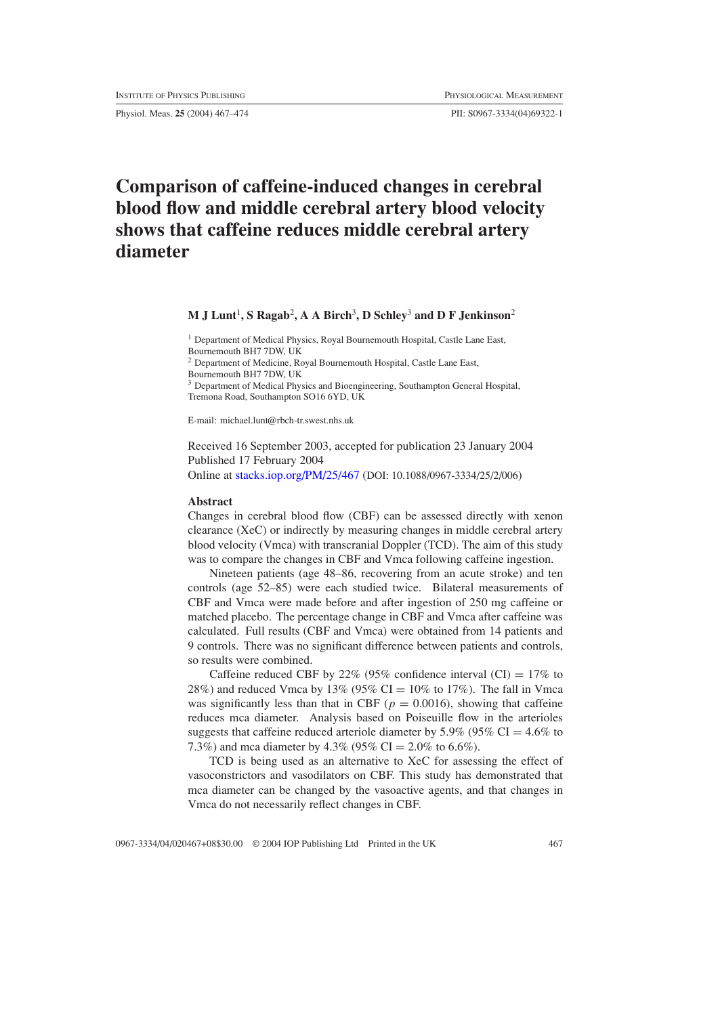Physiol. Meas. **25** (2004) 467–474 PII: S0967-3334(04)69322-1

# **Comparison of caffeine-induced changes in cerebral blood flow and middle cerebral artery blood velocity shows that caffeine reduces middle cerebral artery diameter**

# **M J Lunt**<sup>1</sup> **, S Ragab**<sup>2</sup> **, A A Birch**<sup>3</sup> **, D Schley**<sup>3</sup> **and D F Jenkinson**<sup>2</sup>

<sup>1</sup> Department of Medical Physics, Royal Bournemouth Hospital, Castle Lane East, Bournemouth BH7 7DW, UK

<sup>2</sup> Department of Medicine, Royal Bournemouth Hospital, Castle Lane East,

Bournemouth BH7 7DW, UK

<sup>3</sup> Department of Medical Physics and Bioengineering, Southampton General Hospital, Tremona Road, Southampton SO16 6YD, UK

E-mail: michael.lunt@rbch-tr.swest.nhs.uk

Received 16 September 2003, accepted for publication 23 January 2004 Published 17 February 2004

Online at [stacks.iop.org/PM/25/467](http://stacks.iop.org/pm/25/467) (DOI: 10.1088/0967-3334/25/2/006)

#### **Abstract**

Changes in cerebral blood flow (CBF) can be assessed directly with xenon clearance (XeC) or indirectly by measuring changes in middle cerebral artery blood velocity (Vmca) with transcranial Doppler (TCD). The aim of this study was to compare the changes in CBF and Vmca following caffeine ingestion.

Nineteen patients (age 48–86, recovering from an acute stroke) and ten controls (age 52–85) were each studied twice. Bilateral measurements of CBF and Vmca were made before and after ingestion of 250 mg caffeine or matched placebo. The percentage change in CBF and Vmca after caffeine was calculated. Full results (CBF and Vmca) were obtained from 14 patients and 9 controls. There was no significant difference between patients and controls, so results were combined.

Caffeine reduced CBF by 22% (95% confidence interval (CI) =  $17\%$  to 28%) and reduced Vmca by 13% (95% CI =  $10\%$  to 17%). The fall in Vmca was significantly less than that in CBF ( $p = 0.0016$ ), showing that caffeine reduces mca diameter. Analysis based on Poiseuille flow in the arterioles suggests that caffeine reduced arteriole diameter by 5.9% (95%  $CI = 4.6\%$  to 7.3%) and mca diameter by 4.3% (95% CI =  $2.0\%$  to 6.6%).

TCD is being used as an alternative to XeC for assessing the effect of vasoconstrictors and vasodilators on CBF. This study has demonstrated that mca diameter can be changed by the vasoactive agents, and that changes in Vmca do not necessarily reflect changes in CBF.

0967-3334/04/020467+08\$30.00 © 2004 IOP Publishing Ltd Printed in the UK 467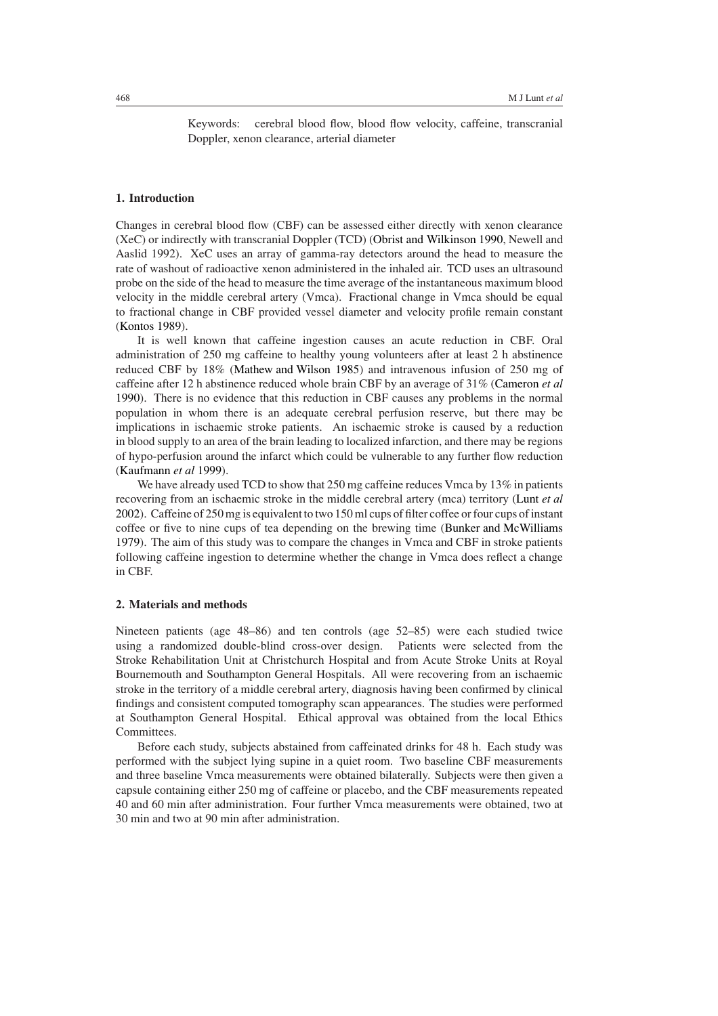Keywords: cerebral blood flow, blood flow velocity, caffeine, transcranial Doppler, xenon clearance, arterial diameter

## **1. Introduction**

Changes in cerebral blood flow (CBF) can be assessed either directly with xenon clearance (XeC) or indirectly with transcranial Doppler (TCD) [\(Obrist and Wilkinson 1990,](#page-7-0) Newell and Aaslid 1992). XeC uses an array of gamma-ray detectors around the head to measure the rate of washout of radioactive xenon administered in the inhaled air. TCD uses an ultrasound probe on the side of the head to measure the time average of the instantaneous maximum blood velocity in the middle cerebral artery (Vmca). Fractional change in Vmca should be equal to fractional change in CBF provided vessel diameter and velocity profile remain constant [\(Kontos 1989](#page-7-1)).

It is well known that caffeine ingestion causes an acute reduction in CBF. Oral administration of 250 mg caffeine to healthy young volunteers after at least 2 h abstinence reduced CBF by 18% [\(Mathew and Wilson 1985\)](#page-7-2) and intravenous infusion of 250 mg of caffeine after 12 h abstinence reduced whole brain CBF by an average of 31% [\(Cameron](#page-7-3) *et al* [1990\)](#page-7-3). There is no evidence that this reduction in CBF causes any problems in the normal population in whom there is an adequate cerebral perfusion reserve, but there may be implications in ischaemic stroke patients. An ischaemic stroke is caused by a reduction in blood supply to an area of the brain leading to localized infarction, and there may be regions of hypo-perfusion around the infarct which could be vulnerable to any further flow reduction [\(Kaufmann](#page-7-4) *et al* [1999\)](#page-7-4).

We have already used TCD to show that 250 mg caffeine reduces Vmca by 13% in patients recovering from an ischaemic stroke in the middle cerebral artery (mca) territory [\(Lunt](#page-7-5) *et al* [2002\)](#page-7-5). Caffeine of 250 mg is equivalent to two 150 ml cups of filter coffee or four cups of instant coffee or five to nine cups of tea depending on the brewing time [\(Bunker and McWilliams](#page-7-6) [1979\)](#page-7-6). The aim of this study was to compare the changes in Vmca and CBF in stroke patients following caffeine ingestion to determine whether the change in Vmca does reflect a change in CBF.

## **2. Materials and methods**

Nineteen patients (age 48–86) and ten controls (age 52–85) were each studied twice using a randomized double-blind cross-over design. Patients were selected from the Stroke Rehabilitation Unit at Christchurch Hospital and from Acute Stroke Units at Royal Bournemouth and Southampton General Hospitals. All were recovering from an ischaemic stroke in the territory of a middle cerebral artery, diagnosis having been confirmed by clinical findings and consistent computed tomography scan appearances. The studies were performed at Southampton General Hospital. Ethical approval was obtained from the local Ethics Committees.

Before each study, subjects abstained from caffeinated drinks for 48 h. Each study was performed with the subject lying supine in a quiet room. Two baseline CBF measurements and three baseline Vmca measurements were obtained bilaterally. Subjects were then given a capsule containing either 250 mg of caffeine or placebo, and the CBF measurements repeated 40 and 60 min after administration. Four further Vmca measurements were obtained, two at 30 min and two at 90 min after administration.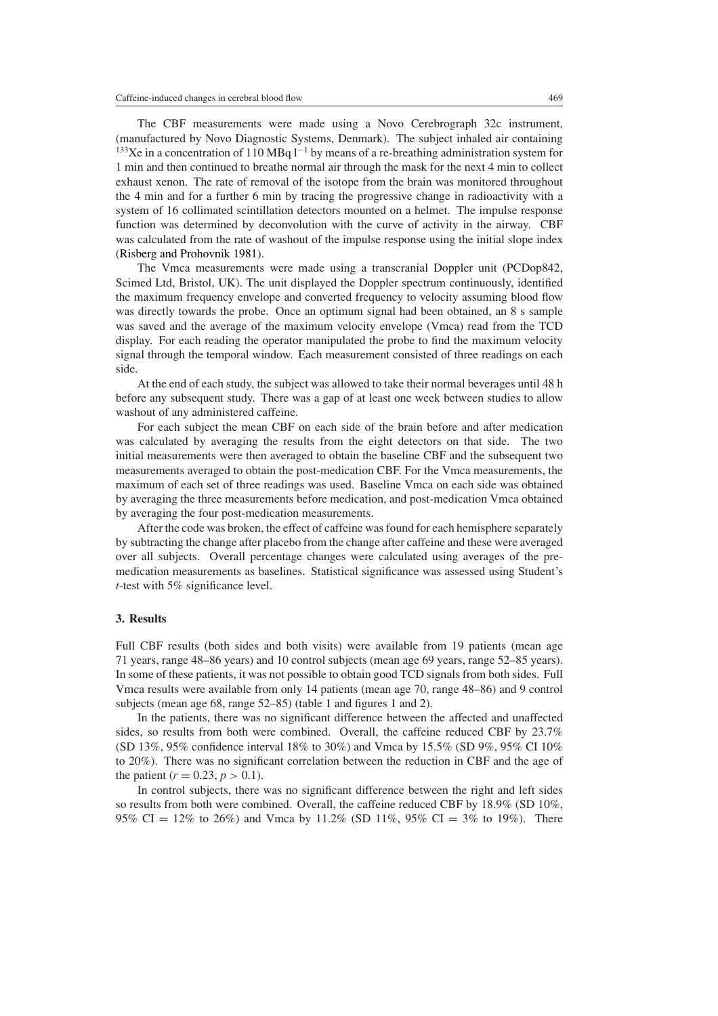The CBF measurements were made using a Novo Cerebrograph 32c instrument, (manufactured by Novo Diagnostic Systems, Denmark). The subject inhaled air containing <sup>133</sup>Xe in a concentration of 110 MBq  $1^{-1}$  by means of a re-breathing administration system for 1 min and then continued to breathe normal air through the mask for the next 4 min to collect exhaust xenon. The rate of removal of the isotope from the brain was monitored throughout the 4 min and for a further 6 min by tracing the progressive change in radioactivity with a system of 16 collimated scintillation detectors mounted on a helmet. The impulse response function was determined by deconvolution with the curve of activity in the airway. CBF was calculated from the rate of washout of the impulse response using the initial slope index [\(Risberg and Prohovnik 1981](#page-7-7)).

The Vmca measurements were made using a transcranial Doppler unit (PCDop842, Scimed Ltd, Bristol, UK). The unit displayed the Doppler spectrum continuously, identified the maximum frequency envelope and converted frequency to velocity assuming blood flow was directly towards the probe. Once an optimum signal had been obtained, an 8 s sample was saved and the average of the maximum velocity envelope (Vmca) read from the TCD display. For each reading the operator manipulated the probe to find the maximum velocity signal through the temporal window. Each measurement consisted of three readings on each side.

At the end of each study, the subject was allowed to take their normal beverages until 48 h before any subsequent study. There was a gap of at least one week between studies to allow washout of any administered caffeine.

For each subject the mean CBF on each side of the brain before and after medication was calculated by averaging the results from the eight detectors on that side. The two initial measurements were then averaged to obtain the baseline CBF and the subsequent two measurements averaged to obtain the post-medication CBF. For the Vmca measurements, the maximum of each set of three readings was used. Baseline Vmca on each side was obtained by averaging the three measurements before medication, and post-medication Vmca obtained by averaging the four post-medication measurements.

After the code was broken, the effect of caffeine was found for each hemisphere separately by subtracting the change after placebo from the change after caffeine and these were averaged over all subjects. Overall percentage changes were calculated using averages of the premedication measurements as baselines. Statistical significance was assessed using Student's *t*-test with 5% significance level.

#### **3. Results**

Full CBF results (both sides and both visits) were available from 19 patients (mean age 71 years, range 48–86 years) and 10 control subjects (mean age 69 years, range 52–85 years). In some of these patients, it was not possible to obtain good TCD signals from both sides. Full Vmca results were available from only 14 patients (mean age 70, range 48–86) and 9 control subjects (mean age 68, range 52–85) (table [1](#page-3-0) and figures [1](#page-3-1) and [2\)](#page-3-2).

In the patients, there was no significant difference between the affected and unaffected sides, so results from both were combined. Overall, the caffeine reduced CBF by 23.7% (SD 13%, 95% confidence interval 18% to 30%) and Vmca by 15.5% (SD 9%, 95% CI 10% to 20%). There was no significant correlation between the reduction in CBF and the age of the patient ( $r = 0.23$ ,  $p > 0.1$ ).

In control subjects, there was no significant difference between the right and left sides so results from both were combined. Overall, the caffeine reduced CBF by 18.9% (SD 10%, 95% CI = 12% to 26%) and Vmca by 11.2% (SD 11%, 95% CI = 3% to 19%). There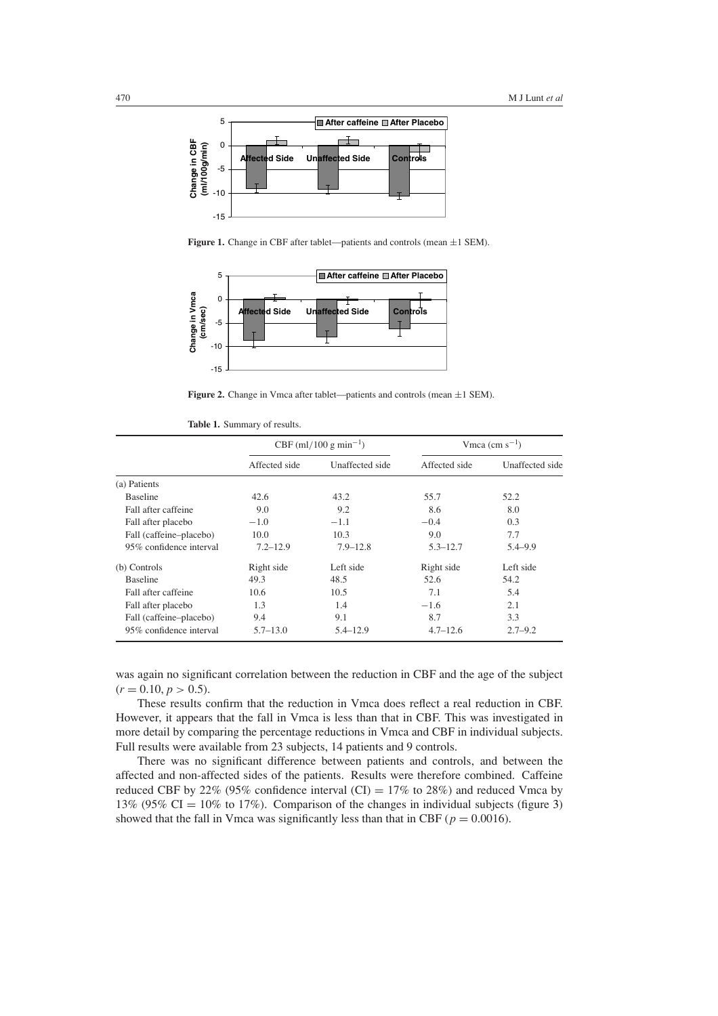

Figure 1. Change in CBF after tablet—patients and controls (mean  $\pm 1$  SEM).

<span id="page-3-1"></span>

**Figure 2.** Change in Vmca after tablet—patients and controls (mean  $\pm 1$  SEM).

|  |  | Table 1. Summary of results. |  |  |
|--|--|------------------------------|--|--|
|--|--|------------------------------|--|--|

<span id="page-3-2"></span><span id="page-3-0"></span>

|                         | CBF (ml/100 g min <sup>-1</sup> ) |                 | Vmca $\rm (cm~s^{-1})$ |                 |
|-------------------------|-----------------------------------|-----------------|------------------------|-----------------|
|                         | Affected side                     | Unaffected side | Affected side          | Unaffected side |
| (a) Patients            |                                   |                 |                        |                 |
| <b>Baseline</b>         | 42.6                              | 43.2            | 55.7                   | 52.2            |
| Fall after caffeine     | 9.0                               | 9.2             | 8.6                    | 8.0             |
| Fall after placebo      | $-1.0$                            | $-1.1$          | $-0.4$                 | 0.3             |
| Fall (caffeine-placebo) | 10.0                              | 10.3            | 9.0                    | 7.7             |
| 95% confidence interval | $7.2 - 12.9$                      | $7.9 - 12.8$    | $5.3 - 12.7$           | $5.4 - 9.9$     |
| (b) Controls            | Right side                        | Left side       | Right side             | Left side       |
| <b>Baseline</b>         | 49.3                              | 48.5            | 52.6                   | 54.2            |
| Fall after caffeine     | 10.6                              | 10.5            | 7.1                    | 5.4             |
| Fall after placebo      | 1.3                               | 1.4             | $-1.6$                 | 2.1             |
| Fall (caffeine-placebo) | 9.4                               | 9.1             | 8.7                    | 3.3             |
| 95% confidence interval | $5.7 - 13.0$                      | $5.4 - 12.9$    | $4.7 - 12.6$           | $2.7 - 9.2$     |

was again no significant correlation between the reduction in CBF and the age of the subject  $(r = 0.10, p > 0.5).$ 

These results confirm that the reduction in Vmca does reflect a real reduction in CBF. However, it appears that the fall in Vmca is less than that in CBF. This was investigated in more detail by comparing the percentage reductions in Vmca and CBF in individual subjects. Full results were available from 23 subjects, 14 patients and 9 controls.

There was no significant difference between patients and controls, and between the affected and non-affected sides of the patients. Results were therefore combined. Caffeine reduced CBF by 22% (95% confidence interval (CI) =  $17\%$  to 28%) and reduced Vmca by 13% (95% CI = 10% to 17%). Comparison of the changes in individual subjects (figure [3\)](#page-4-0) showed that the fall in Vmca was significantly less than that in CBF ( $p = 0.0016$ ).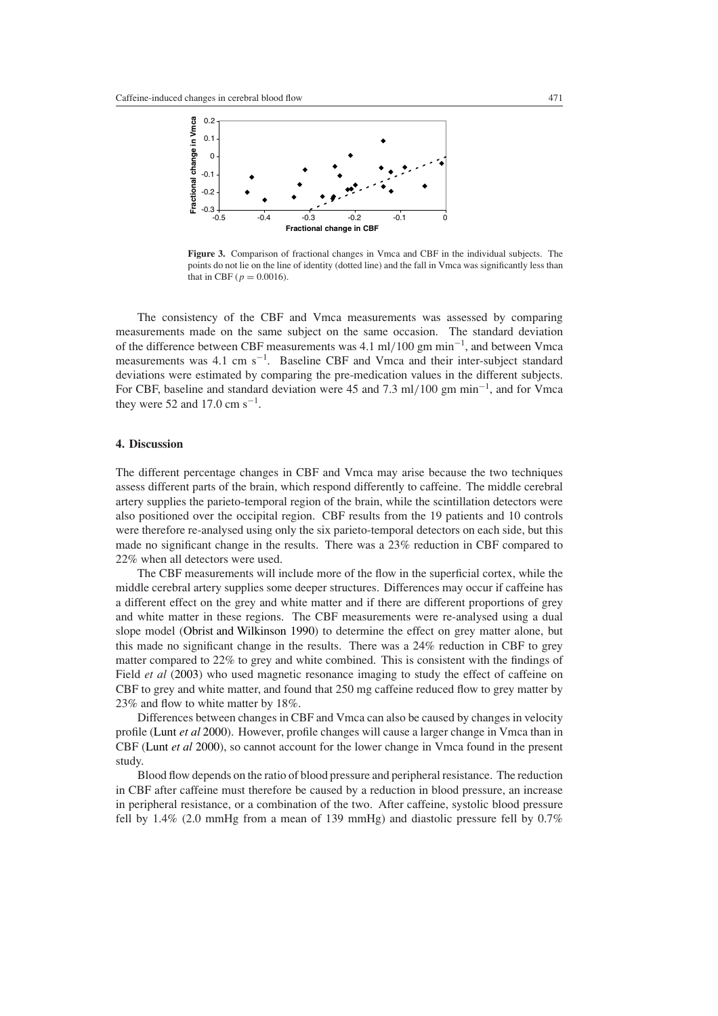

<span id="page-4-0"></span>**Figure 3.** Comparison of fractional changes in Vmca and CBF in the individual subjects. The points do not lie on the line of identity (dotted line) and the fall in Vmca was significantly less than that in CBF ( $p = 0.0016$ ).

The consistency of the CBF and Vmca measurements was assessed by comparing measurements made on the same subject on the same occasion. The standard deviation of the difference between CBF measurements was 4.1 ml*/*100 gm min−<sup>1</sup> , and between Vmca measurements was 4.1 cm s<sup>-1</sup>. Baseline CBF and Vmca and their inter-subject standard deviations were estimated by comparing the pre-medication values in the different subjects. For CBF, baseline and standard deviation were 45 and 7.3 ml*/*100 gm min−<sup>1</sup> , and for Vmca they were 52 and 17.0 cm  $s^{-1}$ .

## **4. Discussion**

The different percentage changes in CBF and Vmca may arise because the two techniques assess different parts of the brain, which respond differently to caffeine. The middle cerebral artery supplies the parieto-temporal region of the brain, while the scintillation detectors were also positioned over the occipital region. CBF results from the 19 patients and 10 controls were therefore re-analysed using only the six parieto-temporal detectors on each side, but this made no significant change in the results. There was a 23% reduction in CBF compared to 22% when all detectors were used.

The CBF measurements will include more of the flow in the superficial cortex, while the middle cerebral artery supplies some deeper structures. Differences may occur if caffeine has a different effect on the grey and white matter and if there are different proportions of grey and white matter in these regions. The CBF measurements were re-analysed using a dual slope model [\(Obrist and Wilkinson 1990\)](#page-7-0) to determine the effect on grey matter alone, but this made no significant change in the results. There was a 24% reduction in CBF to grey matter compared to 22% to grey and white combined. This is consistent with the findings of Field *et al* [\(2003\)](#page-7-8) who used magnetic resonance imaging to study the effect of caffeine on CBF to grey and white matter, and found that 250 mg caffeine reduced flow to grey matter by 23% and flow to white matter by 18%.

Differences between changes in CBF and Vmca can also be caused by changes in velocity profile [\(Lunt](#page-7-9) *et al* [2000](#page-7-9)). However, profile changes will cause a larger change in Vmca than in CBF [\(Lunt](#page-7-9) *et al* [2000](#page-7-9)), so cannot account for the lower change in Vmca found in the present study.

Blood flow depends on the ratio of blood pressure and peripheral resistance. The reduction in CBF after caffeine must therefore be caused by a reduction in blood pressure, an increase in peripheral resistance, or a combination of the two. After caffeine, systolic blood pressure fell by 1.4% (2.0 mmHg from a mean of 139 mmHg) and diastolic pressure fell by 0.7%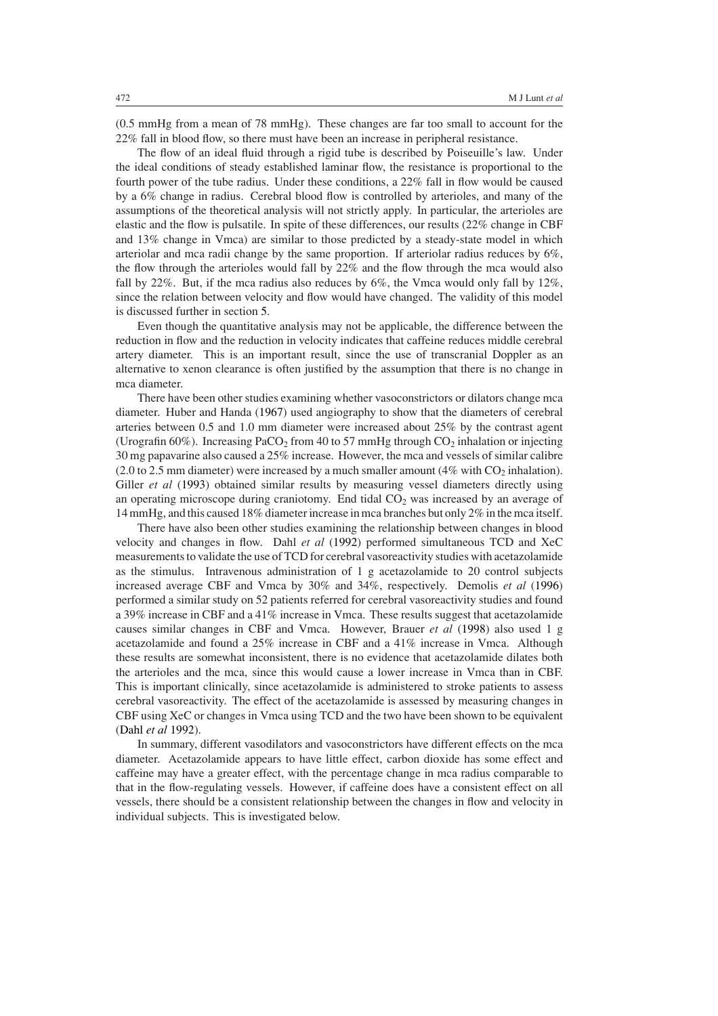(0.5 mmHg from a mean of 78 mmHg). These changes are far too small to account for the 22% fall in blood flow, so there must have been an increase in peripheral resistance.

The flow of an ideal fluid through a rigid tube is described by Poiseuille's law. Under the ideal conditions of steady established laminar flow, the resistance is proportional to the fourth power of the tube radius. Under these conditions, a 22% fall in flow would be caused by a 6% change in radius. Cerebral blood flow is controlled by arterioles, and many of the assumptions of the theoretical analysis will not strictly apply. In particular, the arterioles are elastic and the flow is pulsatile. In spite of these differences, our results (22% change in CBF and 13% change in Vmca) are similar to those predicted by a steady-state model in which arteriolar and mca radii change by the same proportion. If arteriolar radius reduces by 6%, the flow through the arterioles would fall by 22% and the flow through the mca would also fall by 22%. But, if the mca radius also reduces by 6%, the Vmca would only fall by 12%, since the relation between velocity and flow would have changed. The validity of this model is discussed further in section [5.](#page-6-0)

Even though the quantitative analysis may not be applicable, the difference between the reduction in flow and the reduction in velocity indicates that caffeine reduces middle cerebral artery diameter. This is an important result, since the use of transcranial Doppler as an alternative to xenon clearance is often justified by the assumption that there is no change in mca diameter.

There have been other studies examining whether vasoconstrictors or dilators change mca diameter. Huber and Handa [\(1967\)](#page-7-10) used angiography to show that the diameters of cerebral arteries between 0.5 and 1.0 mm diameter were increased about 25% by the contrast agent (Urografin 60%). Increasing PaCO<sub>2</sub> from 40 to 57 mmHg through  $CO_2$  inhalation or injecting 30 mg papavarine also caused a 25% increase. However, the mca and vessels of similar calibre (2.0 to 2.5 mm diameter) were increased by a much smaller amount  $(4\%$  with CO<sub>2</sub> inhalation). Giller *et al* [\(1993](#page-7-11)) obtained similar results by measuring vessel diameters directly using an operating microscope during craniotomy. End tidal  $CO<sub>2</sub>$  was increased by an average of 14 mmHg, and this caused 18% diameter increase in mca branches but only 2% in the mca itself.

There have also been other studies examining the relationship between changes in blood velocity and changes in flow. Dahl *et al* [\(1992](#page-7-12)) performed simultaneous TCD and XeC measurements to validate the use of TCD for cerebral vasoreactivity studies with acetazolamide as the stimulus. Intravenous administration of 1 g acetazolamide to 20 control subjects increased average CBF and Vmca by 30% and 34%, respectively. Demolis *et al* [\(1996](#page-7-13)) performed a similar study on 52 patients referred for cerebral vasoreactivity studies and found a 39% increase in CBF and a 41% increase in Vmca. These results suggest that acetazolamide causes similar changes in CBF and Vmca. However, Brauer *et al* [\(1998](#page-7-14)) also used 1 g acetazolamide and found a 25% increase in CBF and a 41% increase in Vmca. Although these results are somewhat inconsistent, there is no evidence that acetazolamide dilates both the arterioles and the mca, since this would cause a lower increase in Vmca than in CBF. This is important clinically, since acetazolamide is administered to stroke patients to assess cerebral vasoreactivity. The effect of the acetazolamide is assessed by measuring changes in CBF using XeC or changes in Vmca using TCD and the two have been shown to be equivalent [\(Dahl](#page-7-12) *et al* [1992\)](#page-7-12).

In summary, different vasodilators and vasoconstrictors have different effects on the mca diameter. Acetazolamide appears to have little effect, carbon dioxide has some effect and caffeine may have a greater effect, with the percentage change in mca radius comparable to that in the flow-regulating vessels. However, if caffeine does have a consistent effect on all vessels, there should be a consistent relationship between the changes in flow and velocity in individual subjects. This is investigated below.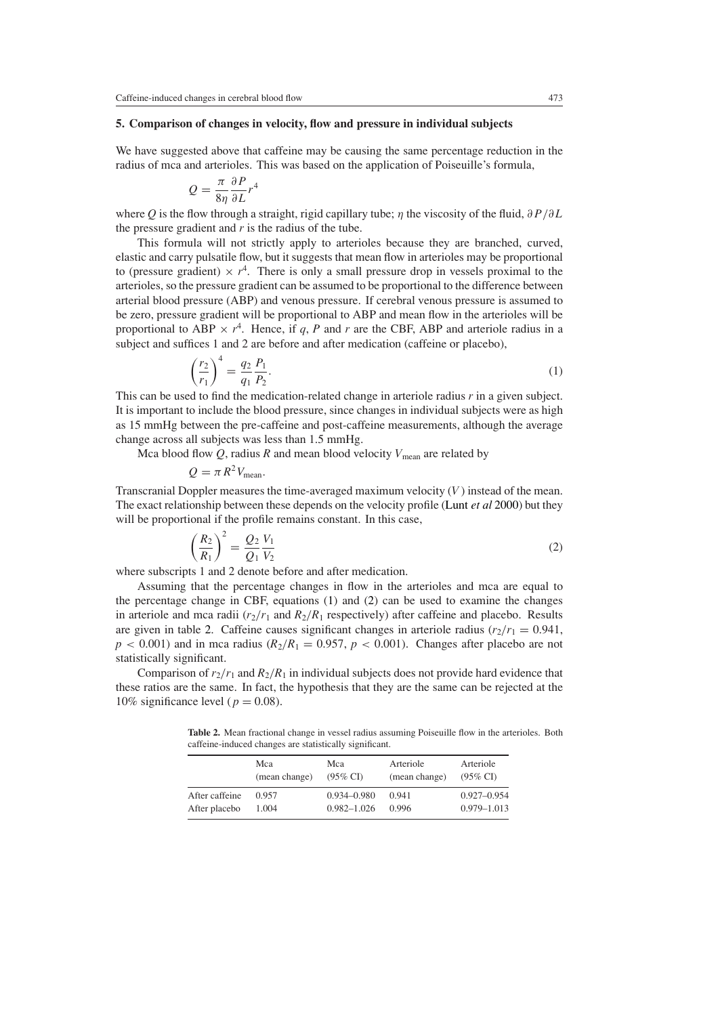## <span id="page-6-0"></span>**5. Comparison of changes in velocity, flow and pressure in individual subjects**

We have suggested above that caffeine may be causing the same percentage reduction in the radius of mca and arterioles. This was based on the application of Poiseuille's formula,

$$
Q = \frac{\pi}{8\eta} \frac{\partial P}{\partial L} r^4
$$

where *Q* is the flow through a straight, rigid capillary tube; *η* the viscosity of the fluid, *∂P /∂L* the pressure gradient and *r* is the radius of the tube.

This formula will not strictly apply to arterioles because they are branched, curved, elastic and carry pulsatile flow, but it suggests that mean flow in arterioles may be proportional to (pressure gradient)  $\times r^4$ . There is only a small pressure drop in vessels proximal to the arterioles, so the pressure gradient can be assumed to be proportional to the difference between arterial blood pressure (ABP) and venous pressure. If cerebral venous pressure is assumed to be zero, pressure gradient will be proportional to ABP and mean flow in the arterioles will be proportional to ABP  $\times$   $r^4$ . Hence, if *q*, *P* and *r* are the CBF, ABP and arteriole radius in a subject and suffices 1 and 2 are before and after medication (caffeine or placebo),

$$
\left(\frac{r_2}{r_1}\right)^4 = \frac{q_2}{q_1} \frac{P_1}{P_2}.\tag{1}
$$

<span id="page-6-1"></span>This can be used to find the medication-related change in arteriole radius *r* in a given subject. It is important to include the blood pressure, since changes in individual subjects were as high as 15 mmHg between the pre-caffeine and post-caffeine measurements, although the average change across all subjects was less than 1.5 mmHg.

Mca blood flow  $Q$ , radius  $R$  and mean blood velocity  $V_{\text{mean}}$  are related by

$$
Q = \pi R^2 V_{\text{mean}}.
$$

Transcranial Doppler measures the time-averaged maximum velocity (*V* ) instead of the mean. The exact relationship between these depends on the velocity profile [\(Lunt](#page-7-9) *et al* [2000\)](#page-7-9) but they will be proportional if the profile remains constant. In this case,

$$
\left(\frac{R_2}{R_1}\right)^2 = \frac{Q_2}{Q_1} \frac{V_1}{V_2} \tag{2}
$$

<span id="page-6-2"></span>where subscripts 1 and 2 denote before and after medication.

Assuming that the percentage changes in flow in the arterioles and mca are equal to the percentage change in CBF, equations [\(1\)](#page-6-1) and [\(2\)](#page-6-2) can be used to examine the changes in arteriole and mca radii  $(r_2/r_1$  and  $R_2/R_1$  respectively) after caffeine and placebo. Results are given in table [2.](#page-6-3) Caffeine causes significant changes in arteriole radius  $(r_2/r_1 = 0.941$ ,  $p < 0.001$ ) and in mca radius ( $R_2/R_1 = 0.957$ ,  $p < 0.001$ ). Changes after placebo are not statistically significant.

Comparison of  $r_2/r_1$  and  $R_2/R_1$  in individual subjects does not provide hard evidence that these ratios are the same. In fact, the hypothesis that they are the same can be rejected at the 10% significance level ( $p = 0.08$ ).

<span id="page-6-3"></span>Table 2. Mean fractional change in vessel radius assuming Poiseuille flow in the arterioles. Both caffeine-induced changes are statistically significant.

|                | Mca           | Mca                 | Arteriole     | Arteriole           |
|----------------|---------------|---------------------|---------------|---------------------|
|                | (mean change) | $(95\% \text{ CI})$ | (mean change) | $(95\% \text{ CI})$ |
| After caffeine | 0.957         | $0.934 - 0.980$     | 0.941         | $0.927 - 0.954$     |
| After placebo  | 1.004         | $0.982 - 1.026$     | 0.996         | $0.979 - 1.013$     |